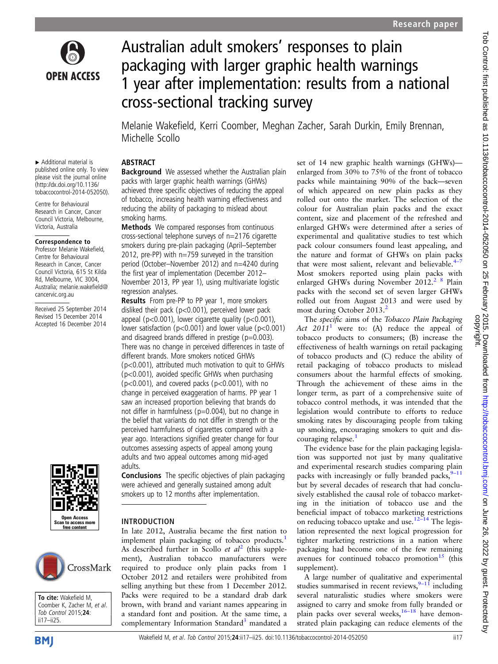

# Australian adult smokers' responses to plain packaging with larger graphic health warnings 1 year after implementation: results from a national cross-sectional tracking survey

Melanie Wakefield, Kerri Coomber, Meghan Zacher, Sarah Durkin, Emily Brennan, Michelle Scollo

#### ABSTRACT **Background** We assessed whether the Australian plain

smoking harms.

regression analyses.

packs with larger graphic health warnings (GHWs) achieved three specific objectives of reducing the appeal of tobacco, increasing health warning effectiveness and reducing the ability of packaging to mislead about

Methods We compared responses from continuous cross-sectional telephone surveys of n=2176 cigarette smokers during pre-plain packaging (April–September 2012, pre-PP) with n=759 surveyed in the transition period (October–November 2012) and n=4240 during the first year of implementation (December 2012– November 2013, PP year 1), using multivariate logistic

Results From pre-PP to PP year 1, more smokers disliked their pack (p<0.001), perceived lower pack appeal (p<0.001), lower cigarette quality (p<0.001), lower satisfaction (p<0.001) and lower value (p<0.001) and disagreed brands differed in prestige ( $p=0.003$ ). There was no change in perceived differences in taste of

different brands. More smokers noticed GHWs

(p<0.001), attributed much motivation to quit to GHWs (p<0.001), avoided specific GHWs when purchasing  $(p<0.001)$ , and covered packs  $(p<0.001)$ , with no change in perceived exaggeration of harms. PP year 1 saw an increased proportion believing that brands do not differ in harmfulness (p=0.004), but no change in the belief that variants do not differ in strength or the perceived harmfulness of cigarettes compared with a year ago. Interactions signified greater change for four outcomes assessing aspects of appeal among young adults and two appeal outcomes among mid-aged

Conclusions The specific objectives of plain packaging were achieved and generally sustained among adult smokers up to 12 months after implementation.

implement plain packaging of tobacco products.<sup>[1](#page-7-0)</sup> As described further in Scollo et  $al^2$  $al^2$  (this supplement), Australian tobacco manufacturers were required to produce only plain packs from 1 October 2012 and retailers were prohibited from selling anything but these from 1 December 2012. Packs were required to be a standard drab dark brown, with brand and variant names appearing in a standard font and position. At the same time, a complementary Information Standard<sup>3</sup> mandated a

▸ Additional material is published online only. To view please visit the journal online [\(http://dx.doi.org/10.1136/](http://dx.doi.org/10.1136/tobaccocontrol-2014-052050) [tobaccocontrol-2014-052050\)](http://dx.doi.org/10.1136/tobaccocontrol-2014-052050).

Centre for Behavioural Research in Cancer, Cancer Council Victoria, Melbourne, Victoria, Australia

#### Correspondence to

Professor Melanie Wakefield, Centre for Behavioural Research in Cancer, Cancer Council Victoria, 615 St Kilda Rd, Melbourne, VIC 3004, Australia; melanie.wakefield@ cancervic.org.au

Received 25 September 2014 Revised 15 December 2014 Accepted 16 December 2014



#### INTRODUCTION In late 2012, Australia became the first nation to

adults.

CrossMark



set of 14 new graphic health warnings (GHWs) enlarged from 30% to 75% of the front of tobacco packs while maintaining 90% of the back—seven of which appeared on new plain packs as they rolled out onto the market. The selection of the colour for Australian plain packs and the exact content, size and placement of the refreshed and enlarged GHWs were determined after a series of experimental and qualitative studies to test which pack colour consumers found least appealing, and the nature and format of GHWs on plain packs that were most salient, relevant and believable. $4-7$  $4-7$ Most smokers reported using plain packs with enlarged GHWs during November 2012.<sup>[2 8](#page-7-0)</sup> Plain packs with the second set of seven larger GHWs rolled out from August 2013 and were used by most during October [2](#page-7-0)013.<sup>2</sup>

The specific aims of the Tobacco Plain Packaging Act  $2011<sup>1</sup>$  $2011<sup>1</sup>$  $2011<sup>1</sup>$  were to: (A) reduce the appeal of tobacco products to consumers; (B) increase the effectiveness of health warnings on retail packaging of tobacco products and (C) reduce the ability of retail packaging of tobacco products to mislead consumers about the harmful effects of smoking. Through the achievement of these aims in the longer term, as part of a comprehensive suite of tobacco control methods, it was intended that the legislation would contribute to efforts to reduce smoking rates by discouraging people from taking up smoking, encouraging smokers to quit and dis-couraging relapse.<sup>[1](#page-7-0)</sup>

The evidence base for the plain packaging legislation was supported not just by many qualitative and experimental research studies comparing plain packs with increasingly or fully branded packs,  $9-11$  $9-11$ but by several decades of research that had conclusively established the causal role of tobacco marketing in the initiation of tobacco use and the beneficial impact of tobacco marketing restrictions on reducing tobacco uptake and use.<sup>12–14</sup> The legislation represented the next logical progression for tighter marketing restrictions in a nation where packaging had become one of the few remaining avenues for continued tobacco promotion $15$  (this supplement).

A large number of qualitative and experimental studies summarised in recent reviews,  $9-11$  $9-11$  including several naturalistic studies where smokers were assigned to carry and smoke from fully branded or plain packs over several weeks,  $16-18$  $16-18$  have demonstrated plain packaging can reduce elements of the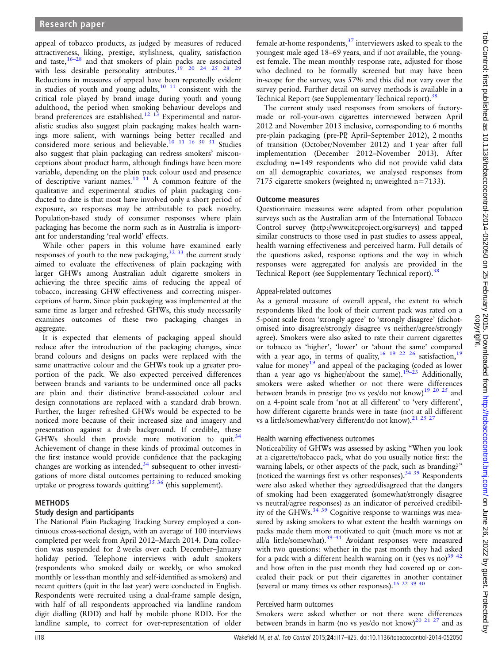appeal of tobacco products, as judged by measures of reduced attractiveness, liking, prestige, stylishness, quality, satisfaction and taste, $16-28$  $16-28$  and that smokers of plain packs are associated with less desirable personality attributes.<sup>19</sup> 20 24 25 28 [29](#page-8-0) Reductions in measures of appeal have been repeatedly evident in studies of youth and young adults, $10^{-11}$  consistent with the critical role played by brand image during youth and young adulthood, the period when smoking behaviour develops and brand preferences are established.<sup>12</sup> <sup>13</sup> Experimental and naturalistic studies also suggest plain packaging makes health warnings more salient, with warnings being better recalled and considered more serious and believable.<sup>10</sup> <sup>11</sup> <sup>16</sup> <sup>30</sup> <sup>31</sup> Studies also suggest that plain packaging can redress smokers' misconceptions about product harm, although findings have been more variable, depending on the plain pack colour used and presence of descriptive variant names. $10^{-11}$  A common feature of the qualitative and experimental studies of plain packaging conducted to date is that most have involved only a short period of exposure, so responses may be attributable to pack novelty. Population-based study of consumer responses where plain packaging has become the norm such as in Australia is important for understanding 'real world' effects.

While other papers in this volume have examined early responses of youth to the new packaging,  $32\,33$  the current study aimed to evaluate the effectiveness of plain packaging with larger GHWs among Australian adult cigarette smokers in achieving the three specific aims of reducing the appeal of tobacco, increasing GHW effectiveness and correcting misperceptions of harm. Since plain packaging was implemented at the same time as larger and refreshed GHWs, this study necessarily examines outcomes of these two packaging changes in aggregate.

It is expected that elements of packaging appeal should reduce after the introduction of the packaging changes, since brand colours and designs on packs were replaced with the same unattractive colour and the GHWs took up a greater proportion of the pack. We also expected perceived differences between brands and variants to be undermined once all packs are plain and their distinctive brand-associated colour and design connotations are replaced with a standard drab brown. Further, the larger refreshed GHWs would be expected to be noticed more because of their increased size and imagery and presentation against a drab background. If credible, these GHWs should then provide more motivation to quit.  $34$ Achievement of change in these kinds of proximal outcomes in the first instance would provide confidence that the packaging changes are working as intended, $34$  subsequent to other investigations of more distal outcomes pertaining to reduced smoking uptake or progress towards quitting  $35 \frac{36}{36}$  (this supplement).

# METHODS

## Study design and participants

The National Plain Packaging Tracking Survey employed a continuous cross-sectional design, with an average of 100 interviews completed per week from April 2012–March 2014. Data collection was suspended for 2 weeks over each December–January holiday period. Telephone interviews with adult smokers (respondents who smoked daily or weekly, or who smoked monthly or less-than monthly and self-identified as smokers) and recent quitters (quit in the last year) were conducted in English. Respondents were recruited using a dual-frame sample design, with half of all respondents approached via landline random digit dialling (RDD) and half by mobile phone RDD. For the landline sample, to correct for over-representation of older

female at-home respondents, $37$  interviewers asked to speak to the youngest male aged 18–69 years, and if not available, the youngest female. The mean monthly response rate, adjusted for those who declined to be formally screened but may have been in-scope for the survey, was 57% and this did not vary over the survey period. Further detail on survey methods is available in a Technical Report (see [Supplementary Technical report\)](http://tobaccocontrol.bmj.com/lookup/suppl/doi:10.1136/tobaccocontrol-2014-052050/-/DC1).<sup>38</sup>

The current study used responses from smokers of factorymade or roll-your-own cigarettes interviewed between April 2012 and November 2013 inclusive, corresponding to 6 months pre-plain packaging (pre-PP, April–September 2012), 2 months of transition (October/November 2012) and 1 year after full implementation (December 2012–November 2013). After excluding n=149 respondents who did not provide valid data on all demographic covariates, we analysed responses from 7175 cigarette smokers (weighted n; unweighted n=7133).

#### Outcome measures

Questionnaire measures were adapted from other population surveys such as the Australian arm of the International Tobacco Control survey (<http://www.itcproject.org/surveys>) and tapped similar constructs to those used in past studies to assess appeal, health warning effectiveness and perceived harm. Full details of the questions asked, response options and the way in which responses were aggregated for analysis are provided in the Technical Report (see [Supplementary Technical report](http://tobaccocontrol.bmj.com/lookup/suppl/doi:10.1136/tobaccocontrol-2014-052050/-/DC1)).<sup>38</sup>

## Appeal-related outcomes

As a general measure of overall appeal, the extent to which respondents liked the look of their current pack was rated on a 5-point scale from 'strongly agree' to 'strongly disagree' (dichotomised into disagree/strongly disagree vs neither/agree/strongly agree). Smokers were also asked to rate their current cigarettes or tobacco as 'higher', 'lower' or 'about the same' compared with a year ago, in terms of quality,<sup>[16 19 22 26](#page-7-0)</sup> satisfaction,<sup>[19](#page-7-0)</sup> value for money<sup>[19](#page-7-0)</sup> and appeal of the packaging (coded as lower than a year ago vs higher/about the same).<sup>[19](#page-7-0)-23</sup> Additionally, smokers were asked whether or not there were differences between brands in prestige (no vs yes/do not know)<sup>19 20 25</sup> and on a 4-point scale from 'not at all different' to 'very different', how different cigarette brands were in taste (not at all different vs a little/somewhat/very different/do not know).<sup>[21 25 27](#page-7-0)</sup>

## Health warning effectiveness outcomes

Noticeability of GHWs was assessed by asking "When you look at a cigarette/tobacco pack, what do you usually notice first: the warning labels, or other aspects of the pack, such as branding?" (noticed the warnings first vs other responses).[34 39](#page-8-0) Respondents were also asked whether they agreed/disagreed that the dangers of smoking had been exaggerated (somewhat/strongly disagree vs neutral/agree responses) as an indicator of perceived credibil-ity of the GHWs.<sup>[34 39](#page-8-0)</sup> Cognitive response to warnings was measured by asking smokers to what extent the health warnings on packs made them more motivated to quit (much more vs not at all/a little/somewhat).<sup>39–41</sup> Avoidant responses were measured with two questions: whether in the past month they had asked for a pack with a different health warning on it (yes vs no) $^{39}$  <sup>42</sup> and how often in the past month they had covered up or concealed their pack or put their cigarettes in another container (several or many times vs other responses).<sup>16 22 [39 40](#page-8-0)</sup>

## Perceived harm outcomes

Smokers were asked whether or not there were differences between brands in harm (no vs yes/do not know)<sup>[20 21 27](#page-7-0)</sup> and as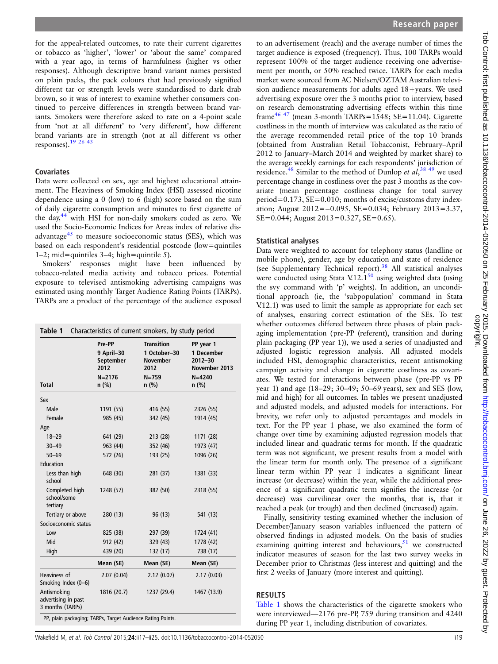for the appeal-related outcomes, to rate their current cigarettes or tobacco as 'higher', 'lower' or 'about the same' compared with a year ago, in terms of harmfulness (higher vs other responses). Although descriptive brand variant names persisted on plain packs, the pack colours that had previously signified different tar or strength levels were standardised to dark drab brown, so it was of interest to examine whether consumers continued to perceive differences in strength between brand variants. Smokers were therefore asked to rate on a 4-point scale from 'not at all different' to 'very different', how different brand variants are in strength (not at all different vs other responses). $19\frac{26\frac{43}{2}}{26\frac{43}{2}}$ 

#### Covariates

Data were collected on sex, age and highest educational attainment. The Heaviness of Smoking Index (HSI) assessed nicotine dependence using a 0 (low) to 6 (high) score based on the sum of daily cigarette consumption and minutes to first cigarette of the day,<sup>[44](#page-8-0)</sup> with HSI for non-daily smokers coded as zero. We used the Socio-Economic Indices for Areas index of relative disadvantage $45$  to measure socioeconomic status (SES), which was based on each respondent's residential postcode (low=quintiles 1–2; mid=quintiles 3–4; high=quintile 5).

Smokers' responses might have been influenced by tobacco-related media activity and tobacco prices. Potential exposure to televised antismoking advertising campaigns was estimated using monthly Target Audience Rating Points (TARPs). TARPs are a product of the percentage of the audience exposed

| Characteristics of current smokers, by study period<br>Table 1 |                                                                    |                                                                                      |                                                                                  |  |  |  |  |  |
|----------------------------------------------------------------|--------------------------------------------------------------------|--------------------------------------------------------------------------------------|----------------------------------------------------------------------------------|--|--|--|--|--|
| Total                                                          | Pre-PP<br>9 April-30<br>September<br>2012<br>$N = 2176$<br>$n$ (%) | <b>Transition</b><br>1 October-30<br><b>November</b><br>2012<br>$N = 759$<br>$n$ (%) | PP year 1<br>1 December<br>$2012 - 30$<br>November 2013<br>$N = 4240$<br>$n$ (%) |  |  |  |  |  |
| Sex                                                            |                                                                    |                                                                                      |                                                                                  |  |  |  |  |  |
| Male                                                           | 1191 (55)                                                          | 416 (55)                                                                             | 2326 (55)                                                                        |  |  |  |  |  |
| Female                                                         | 985 (45)                                                           | 342 (45)                                                                             | 1914 (45)                                                                        |  |  |  |  |  |
| Age                                                            |                                                                    |                                                                                      |                                                                                  |  |  |  |  |  |
| $18 - 29$                                                      | 641 (29)                                                           | 213 (28)                                                                             | 1171 (28)                                                                        |  |  |  |  |  |
| $30 - 49$                                                      | 963 (44)                                                           | 352 (46)                                                                             | 1973 (47)                                                                        |  |  |  |  |  |
| $50 - 69$                                                      | 572 (26)                                                           | 193 (25)                                                                             | 1096 (26)                                                                        |  |  |  |  |  |
| Education                                                      |                                                                    |                                                                                      |                                                                                  |  |  |  |  |  |
| Less than high<br>school                                       | 648 (30)                                                           | 281 (37)                                                                             | 1381 (33)                                                                        |  |  |  |  |  |
| Completed high<br>school/some<br>tertiary                      | 1248 (57)                                                          | 382 (50)                                                                             | 2318 (55)                                                                        |  |  |  |  |  |
| Tertiary or above                                              | 280 (13)                                                           | 96 (13)                                                                              | 541 (13)                                                                         |  |  |  |  |  |
| Socioeconomic status                                           |                                                                    |                                                                                      |                                                                                  |  |  |  |  |  |
| Low                                                            | 825 (38)                                                           | 297 (39)                                                                             | 1724 (41)                                                                        |  |  |  |  |  |
| Mid                                                            | 912 (42)                                                           | 329 (43)                                                                             | 1778 (42)                                                                        |  |  |  |  |  |
| High                                                           | 439 (20)                                                           | 132 (17)                                                                             | 738 (17)                                                                         |  |  |  |  |  |
|                                                                | Mean (SE)                                                          | Mean (SE)                                                                            | Mean (SE)                                                                        |  |  |  |  |  |
| Heaviness of<br>Smoking Index (0-6)                            | 2.07(0.04)                                                         | 2.12(0.07)                                                                           | 2.17(0.03)                                                                       |  |  |  |  |  |
| Antismoking<br>advertising in past<br>3 months (TARPs)         | 1816 (20.7)                                                        | 1237 (29.4)                                                                          | 1467 (13.9)                                                                      |  |  |  |  |  |

to an advertisement (reach) and the average number of times the target audience is exposed (frequency). Thus, 100 TARPs would represent 100% of the target audience receiving one advertisement per month, or 50% reached twice. TARPs for each media market were sourced from AC Nielsen/OZTAM Australian television audience measurements for adults aged 18+years. We used advertising exposure over the 3 months prior to interview, based on research demonstrating advertising effects within this time frame<sup>[46 47](#page-8-0)</sup> (mean 3-month TARPs=1548; SE=11.04). Cigarette costliness in the month of interview was calculated as the ratio of the average recommended retail price of the top 10 brands (obtained from Australian Retail Tobacconist, February–April 2012 to January–March 2014 and weighted by market share) to the average weekly earnings for each respondents' jurisdiction of residence.<sup>48</sup> Similar to the method of Dunlop et  $al$ , <sup>38</sup>, <sup>49</sup> we used percentage change in costliness over the past 3 months as the covariate (mean percentage costliness change for total survey period=0.173, SE=0.010; months of excise/customs duty indexation; August 2012=−0.095, SE=0.034; February 2013=3.37, SE=0.044; August 2013=0.327, SE=0.65).

#### Statistical analyses

Data were weighted to account for telephony status (landline or mobile phone), gender, age by education and state of residence (see [Supplementary Technical report](http://tobaccocontrol.bmj.com/lookup/suppl/doi:10.1136/tobaccocontrol-2014-052050/-/DC1)).[38](#page-8-0) All statistical analyses were conducted using Stata V.12.1 $^{50}$  $^{50}$  $^{50}$  using weighted data (using the svy command with 'p' weights). In addition, an unconditional approach (ie, the 'subpopulation' command in Stata V.12.1) was used to limit the sample as appropriate for each set of analyses, ensuring correct estimation of the SEs. To test whether outcomes differed between three phases of plain packaging implementation (pre-PP (referent), transition and during plain packaging (PP year 1)), we used a series of unadjusted and adjusted logistic regression analysis. All adjusted models included HSI, demographic characteristics, recent antismoking campaign activity and change in cigarette costliness as covariates. We tested for interactions between phase (pre-PP vs PP year 1) and age (18–29; 30–49; 50–69 years), sex and SES (low, mid and high) for all outcomes. In tables we present unadjusted and adjusted models, and adjusted models for interactions. For brevity, we refer only to adjusted percentages and models in text. For the PP year 1 phase, we also examined the form of change over time by examining adjusted regression models that included linear and quadratic terms for month. If the quadratic term was not significant, we present results from a model with the linear term for month only. The presence of a significant linear term within PP year 1 indicates a significant linear increase (or decrease) within the year, while the additional presence of a significant quadratic term signifies the increase (or decrease) was curvilinear over the months, that is, that it reached a peak (or trough) and then declined (increased) again.

Finally, sensitivity testing examined whether the inclusion of December/January season variables influenced the pattern of observed findings in adjusted models. On the basis of studies examining quitting interest and behaviours, $51$  we constructed indicator measures of season for the last two survey weeks in December prior to Christmas (less interest and quitting) and the first 2 weeks of January (more interest and quitting).

## RESULTS

PP, plain packaging; TARPs, Target Audience Rating Points.

Table 1 shows the characteristics of the cigarette smokers who were interviewed—2176 pre-PP, 759 during transition and 4240 during PP year 1, including distribution of covariates.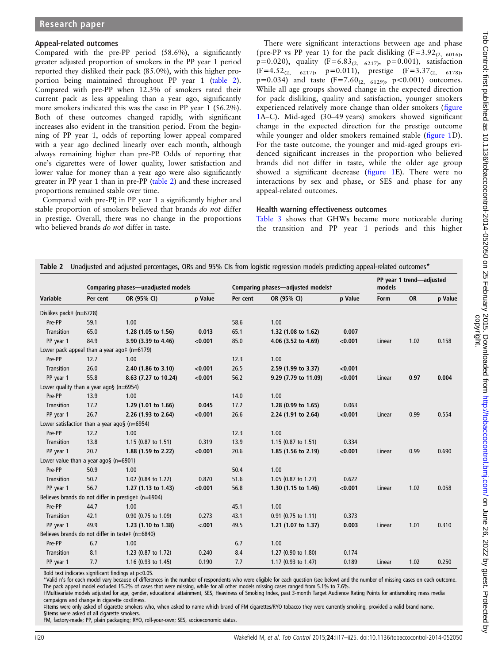#### Appeal-related outcomes

Compared with the pre-PP period (58.6%), a significantly greater adjusted proportion of smokers in the PP year 1 period reported they disliked their pack (85.0%), with this higher proportion being maintained throughout PP year 1 (table 2). Compared with pre-PP when 12.3% of smokers rated their current pack as less appealing than a year ago, significantly more smokers indicated this was the case in PP year 1 (56.2%). Both of these outcomes changed rapidly, with significant increases also evident in the transition period. From the beginning of PP year 1, odds of reporting lower appeal compared with a year ago declined linearly over each month, although always remaining higher than pre-PP. Odds of reporting that one's cigarettes were of lower quality, lower satisfaction and lower value for money than a year ago were also significantly greater in PP year 1 than in pre-PP (table 2) and these increased proportions remained stable over time.

Compared with pre-PP, in PP year 1 a significantly higher and stable proportion of smokers believed that brands do not differ in prestige. Overall, there was no change in the proportions who believed brands do not differ in taste.

There were significant interactions between age and phase ( pre-PP vs PP year 1) for the pack disliking  $(F=3.92_{(2, 6016)})$  $p=0.020$ ), quality  $(F=6.83<sub>(2, 6217)</sub>, p=0.001)$ , satisfaction  $(F=4.52_{(2, 6217)}, p=0.011)$ , prestige  $(F=3.37_{(2, 6178)},$  $p=0.034$ ) and taste  $(F=7.60_{(2, 6129)}$ ,  $p<0.001$ ) outcomes. While all age groups showed change in the expected direction for pack disliking, quality and satisfaction, younger smokers experienced relatively more change than older smokers (fi[gure](#page-4-0) [1A](#page-4-0)–C). Mid-aged (30–49 years) smokers showed significant change in the expected direction for the prestige outcome while younger and older smokers remained stable (fi[gure 1D](#page-4-0)). For the taste outcome, the younger and mid-aged groups evidenced significant increases in the proportion who believed brands did not differ in taste, while the older age group showed a significant decrease (fi[gure 1E](#page-4-0)). There were no interactions by sex and phase, or SES and phase for any appeal-related outcomes.

#### Health warning effectiveness outcomes

[Table 3](#page-5-0) shows that GHWs became more noticeable during the transition and PP year 1 periods and this higher

|                         | Comparing phases-unadjusted models                    |                                                     |         | Comparing phases-adjusted modelst |                                |         | PP year 1 trend-adjusted<br>models |      |         |
|-------------------------|-------------------------------------------------------|-----------------------------------------------------|---------|-----------------------------------|--------------------------------|---------|------------------------------------|------|---------|
| Variable                | Per cent                                              | OR (95% CI)                                         | p Value | Per cent                          | OR (95% CI)                    | p Value | Form                               | OR   | p Value |
| Dislikes pack# (n=6728) |                                                       |                                                     |         |                                   |                                |         |                                    |      |         |
| Pre-PP                  | 59.1                                                  | 1.00                                                |         | 58.6                              | 1.00                           |         |                                    |      |         |
| <b>Transition</b>       | 65.0                                                  | 1.28 (1.05 to 1.56)                                 | 0.013   | 65.1                              | 1.32 (1.08 to 1.62)            | 0.007   |                                    |      |         |
| PP year 1               | 84.9                                                  | 3.90 (3.39 to 4.46)                                 | < 0.001 | 85.0                              | 4.06 (3.52 to 4.69)            | < 0.001 | Linear                             | 1.02 | 0.158   |
|                         | Lower pack appeal than a year ago $\ddagger$ (n=6179) |                                                     |         |                                   |                                |         |                                    |      |         |
| Pre-PP                  | 12.7                                                  | 1.00                                                |         | 12.3                              | 1.00                           |         |                                    |      |         |
| Transition              | 26.0                                                  | 2.40 (1.86 to 3.10)                                 | < 0.001 | 26.5                              | 2.59 (1.99 to 3.37)            | < 0.001 |                                    |      |         |
| PP year 1               | 55.8                                                  | 8.63 (7.27 to 10.24)                                | < 0.001 | 56.2                              | 9.29 (7.79 to 11.09)           | < 0.001 | Linear                             | 0.97 | 0.004   |
|                         | Lower quality than a year ago§ ( $n=6954$ )           |                                                     |         |                                   |                                |         |                                    |      |         |
| Pre-PP                  | 13.9                                                  | 1.00                                                |         | 14.0                              | 1.00                           |         |                                    |      |         |
| Transition              | 17.2                                                  | 1.29 (1.01 to 1.66)                                 | 0.045   | 17.2                              | 1.28 (0.99 to 1.65)            | 0.063   |                                    |      |         |
| PP year 1               | 26.7                                                  | 2.26 (1.93 to 2.64)                                 | < 0.001 | 26.6                              | 2.24 (1.91 to 2.64)            | < 0.001 | Linear                             | 0.99 | 0.554   |
|                         | Lower satisfaction than a year ago§ (n=6954)          |                                                     |         |                                   |                                |         |                                    |      |         |
| Pre-PP                  | 12.2                                                  | 1.00                                                |         | 12.3                              | 1.00                           |         |                                    |      |         |
| Transition              | 13.8                                                  | 1.15 $(0.87 \text{ to } 1.51)$                      | 0.319   | 13.9                              | 1.15 $(0.87 \text{ to } 1.51)$ | 0.334   |                                    |      |         |
| PP year 1               | 20.7                                                  | 1.88 (1.59 to 2.22)                                 | < 0.001 | 20.6                              | 1.85 (1.56 to 2.19)            | < 0.001 | Linear                             | 0.99 | 0.690   |
|                         | Lower value than a year ago§ ( $n=6901$ )             |                                                     |         |                                   |                                |         |                                    |      |         |
| Pre-PP                  | 50.9                                                  | 1.00                                                |         | 50.4                              | 1.00                           |         |                                    |      |         |
| Transition              | 50.7                                                  | 1.02 (0.84 to 1.22)                                 | 0.870   | 51.6                              | 1.05 (0.87 to 1.27)            | 0.622   |                                    |      |         |
| PP year 1               | 56.7                                                  | 1.27 (1.13 to 1.43)                                 | < 0.001 | 56.8                              | 1.30 (1.15 to 1.46)            | < 0.001 | Linear                             | 1.02 | 0.058   |
|                         |                                                       | Believes brands do not differ in prestige# (n=6904) |         |                                   |                                |         |                                    |      |         |
| Pre-PP                  | 44.7                                                  | 1.00                                                |         | 45.1                              | 1.00                           |         |                                    |      |         |
| <b>Transition</b>       | 42.1                                                  | 0.90 (0.75 to 1.09)                                 | 0.273   | 43.1                              | $0.91$ (0.75 to 1.11)          | 0.373   |                                    |      |         |
| PP year 1               | 49.9                                                  | 1.23 (1.10 to 1.38)                                 | < .001  | 49.5                              | 1.21 (1.07 to 1.37)            | 0.003   | Linear                             | 1.01 | 0.310   |
|                         |                                                       | Believes brands do not differ in taste# (n=6840)    |         |                                   |                                |         |                                    |      |         |
| Pre-PP                  | 6.7                                                   | 1.00                                                |         | 6.7                               | 1.00                           |         |                                    |      |         |
| <b>Transition</b>       | 8.1                                                   | 1.23 (0.87 to 1.72)                                 | 0.240   | 8.4                               | 1.27 (0.90 to 1.80)            | 0.174   |                                    |      |         |
| PP year 1               | 7.7                                                   | 1.16 (0.93 to 1.45)                                 | 0.190   | 7.7                               | 1.17 (0.93 to 1.47)            | 0.189   | Linear                             | 1.02 | 0.250   |

 $T<sub>1</sub>$  Unadjusted and adjusted percentages, ORs and 95% CIs from logistic regression models predicting appeal-related outcomes  $\mathcal{L}$ 

Bold text indicates significant findings at p<0.05.

Valid n's for each model vary because of differences in the number of respondents who were eligible for each question (see below) and the number of missing cases on each outcome. The pack appeal model excluded 15.2% of cases that were missing, while for all other models missing cases ranged from 5.1% to 7.6%.

†Multivariate models adjusted for age, gender, educational attainment, SES, Heaviness of Smoking Index, past 3-month Target Audience Rating Points for antismoking mass media campaigns and change in cigarette costliness.

‡Items were only asked of cigarette smokers who, when asked to name which brand of FM cigarettes/RYO tobacco they were currently smoking, provided a valid brand name. §Items were asked of all cigarette smokers.

FM, factory-made; PP, plain packaging; RYO, roll-your-own; SES, socioeconomic status.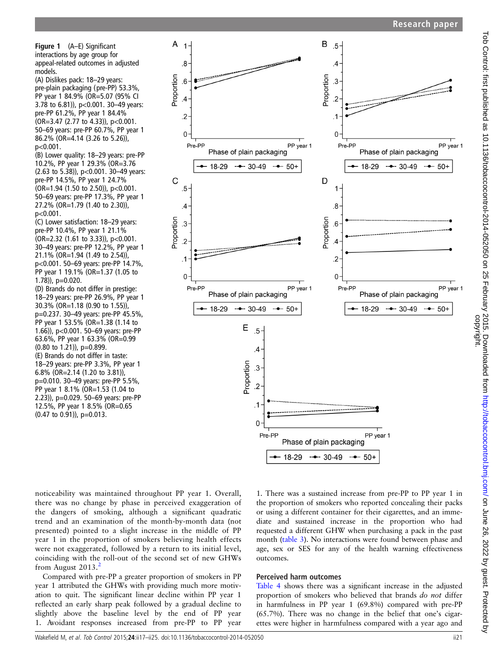<span id="page-4-0"></span>Figure 1 (A–E) Significant interactions by age group for appeal-related outcomes in adjusted models.

A  $\overline{1}$ 

Proportion

 $\mathsf{C}$ 

Proportion

 $\overline{8}$ 

 $.6$ 

 $\overline{4}$ 

 $\overline{2}$ 

 $\mathbf 0$ 

 $.5$ 

 $.4$ 

.3

 $\overline{2}$ 

 $\cdot$ 1

 $\Omega$ 

(A) Dislikes pack: 18–29 years: pre-plain packaging (pre-PP) 53.3%, PP year 1 84.9% (OR=5.07 (95% CI 3.78 to 6.81)), p<0.001. 30–49 years: pre-PP 61.2%, PP year 1 84.4% (OR=3.47 (2.77 to 4.33)), p<0.001. 50–69 years: pre-PP 60.7%, PP year 1 86.2% (OR=4.14 (3.26 to 5.26)), p<0.001.

(B) Lower quality: 18–29 years: pre-PP 10.2%, PP year 1 29.3% (OR=3.76 (2.63 to 5.38)), p<0.001. 30–49 years: pre-PP 14.5%, PP year 1 24.7% (OR=1.94 (1.50 to 2.50)), p<0.001. 50–69 years: pre-PP 17.3%, PP year 1 27.2% (OR=1.79 (1.40 to 2.30)), p<0.001.

(C) Lower satisfaction: 18–29 years: pre-PP 10.4%, PP year 1 21.1% (OR=2.32 (1.61 to 3.33)), p<0.001. 30–49 years: pre-PP 12.2%, PP year 1 21.1% (OR=1.94 (1.49 to 2.54)), p<0.001. 50–69 years: pre-PP 14.7%, PP year 1 19.1% (OR=1.37 (1.05 to 1.78)), p=0.020.

(D) Brands do not differ in prestige: 18–29 years: pre-PP 26.9%, PP year 1 30.3% (OR=1.18 (0.90 to 1.55)), p=0.237. 30–49 years: pre-PP 45.5%, PP year 1 53.5% (OR=1.38 (1.14 to 1.66)), p<0.001. 50–69 years: pre-PP 63.6%, PP year 1 63.3% (OR=0.99  $(0.80 \text{ to } 1.21)$ , p=0.899. (E) Brands do not differ in taste: 18–29 years: pre-PP 3.3%, PP year 1 6.8% (OR=2.14 (1.20 to 3.81)), p=0.010. 30–49 years: pre-PP 5.5%, PP year 1 8.1% (OR=1.53 (1.04 to 2.23)), p=0.029. 50–69 years: pre-PP 12.5%, PP year 1 8.5% (OR=0.65 (0.47 to 0.91)), p=0.013.



PP year 1 Phase of plain packaging  $-$  - 30-49  $-50+$ PP year 1 Phase of plain packaging  $-$  - 30-49 …•… 50+

noticeability was maintained throughout PP year 1. Overall, there was no change by phase in perceived exaggeration of the dangers of smoking, although a significant quadratic trend and an examination of the month-by-month data (not presented) pointed to a slight increase in the middle of PP year 1 in the proportion of smokers believing health effects were not exaggerated, followed by a return to its initial level, coinciding with the roll-out of the second set of new GHWs from August  $2013.<sup>2</sup>$  $2013.<sup>2</sup>$ 

Compared with pre-PP a greater proportion of smokers in PP year 1 attributed the GHWs with providing much more motivation to quit. The significant linear decline within PP year 1 reflected an early sharp peak followed by a gradual decline to slightly above the baseline level by the end of PP year 1. Avoidant responses increased from pre-PP to PP year

1. There was a sustained increase from pre-PP to PP year 1 in the proportion of smokers who reported concealing their packs or using a different container for their cigarettes, and an immediate and sustained increase in the proportion who had requested a different GHW when purchasing a pack in the past month ([table 3\)](#page-5-0). No interactions were found between phase and age, sex or SES for any of the health warning effectiveness outcomes.

## Perceived harm outcomes

[Table 4](#page-5-0) shows there was a significant increase in the adjusted proportion of smokers who believed that brands do not differ in harmfulness in PP year 1 (69.8%) compared with pre-PP (65.7%). There was no change in the belief that one's cigarettes were higher in harmfulness compared with a year ago and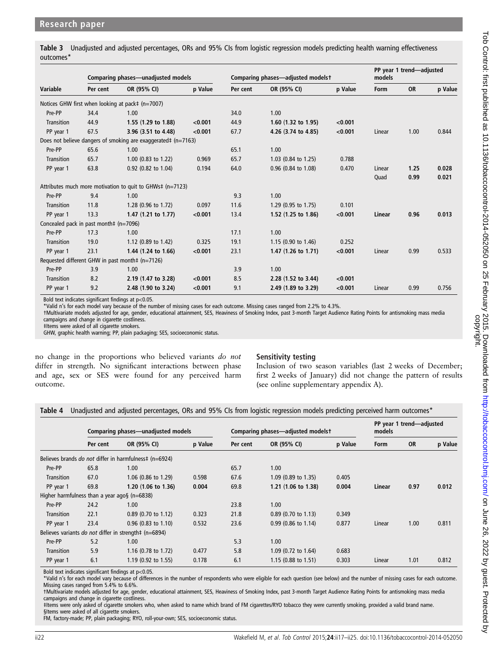<span id="page-5-0"></span>Table 3 Unadjusted and adjusted percentages, ORs and 95% CIs from logistic regression models predicting health warning effectiveness outcomes\*

|                   | Comparing phases—unadjusted models     |                                                               |         | Comparing phases—adjusted modelst |                                |         | PP year 1 trend-adjusted<br>models |           |         |
|-------------------|----------------------------------------|---------------------------------------------------------------|---------|-----------------------------------|--------------------------------|---------|------------------------------------|-----------|---------|
| Variable          | Per cent                               | OR (95% CI)                                                   | p Value | Per cent                          | OR (95% CI)                    | p Value | Form                               | <b>OR</b> | p Value |
|                   |                                        | Notices GHW first when looking at pack# (n=7007)              |         |                                   |                                |         |                                    |           |         |
| Pre-PP            | 34.4                                   | 1.00                                                          |         | 34.0                              | 1.00                           |         |                                    |           |         |
| Transition        | 44.9                                   | 1.55 (1.29 to 1.88)                                           | < 0.001 | 44.9                              | 1.60 $(1.32 \text{ to } 1.95)$ | < 0.001 |                                    |           |         |
| PP year 1         | 67.5                                   | 3.96 (3.51 to 4.48)                                           | < 0.001 | 67.7                              | 4.26 (3.74 to 4.85)            | < 0.001 | Linear                             | 1.00      | 0.844   |
|                   |                                        | Does not believe dangers of smoking are exaggerated# (n=7163) |         |                                   |                                |         |                                    |           |         |
| Pre-PP            | 65.6                                   | 1.00                                                          |         | 65.1                              | 1.00                           |         |                                    |           |         |
| Transition        | 65.7                                   | 1.00 (0.83 to 1.22)                                           | 0.969   | 65.7                              | 1.03 (0.84 to 1.25)            | 0.788   |                                    |           |         |
| PP year 1         | 63.8                                   | 0.92 (0.82 to 1.04)                                           | 0.194   | 64.0                              | 0.96 (0.84 to 1.08)            | 0.470   | Linear                             | 1.25      | 0.028   |
|                   |                                        |                                                               |         |                                   |                                |         | Quad                               | 0.99      | 0.021   |
|                   |                                        | Attributes much more motivation to quit to GHWs‡ (n=7123)     |         |                                   |                                |         |                                    |           |         |
| Pre-PP            | 9.4                                    | 1.00                                                          |         | 9.3                               | 1.00                           |         |                                    |           |         |
| Transition        | 11.8                                   | 1.28 $(0.96 \text{ to } 1.72)$                                | 0.097   | 11.6                              | 1.29 (0.95 to 1.75)            | 0.101   |                                    |           |         |
| PP year 1         | 13.3                                   | 1.47 $(1.21$ to 1.77)                                         | < 0.001 | 13.4                              | 1.52 (1.25 to 1.86)            | < 0.001 | Linear                             | 0.96      | 0.013   |
|                   | Concealed pack in past month# (n=7096) |                                                               |         |                                   |                                |         |                                    |           |         |
| Pre-PP            | 17.3                                   | 1.00                                                          |         | 17.1                              | 1.00                           |         |                                    |           |         |
| <b>Transition</b> | 19.0                                   | 1.12 (0.89 to 1.42)                                           | 0.325   | 19.1                              | 1.15 (0.90 to 1.46)            | 0.252   |                                    |           |         |
| PP year 1         | 23.1                                   | 1.44 (1.24 to 1.66)                                           | < 0.001 | 23.1                              | 1.47 $(1.26 \text{ to } 1.71)$ | < 0.001 | Linear                             | 0.99      | 0.533   |
|                   |                                        | Requested different GHW in past month‡ (n=7126)               |         |                                   |                                |         |                                    |           |         |
| Pre-PP            | 3.9                                    | 1.00                                                          |         | 3.9                               | 1.00                           |         |                                    |           |         |
| <b>Transition</b> | 8.2                                    | 2.19 (1.47 to 3.28)                                           | < 0.001 | 8.5                               | 2.28 (1.52 to 3.44)            | < 0.001 |                                    |           |         |
| PP year 1         | 9.2                                    | 2.48 (1.90 to 3.24)                                           | < 0.001 | 9.1                               | 2.49 (1.89 to 3.29)            | < 0.001 | Linear                             | 0.99      | 0.756   |

Bold text indicates significant findings at p<0.05.

\*Valid n's for each model vary because of the number of missing cases for each outcome. Missing cases ranged from 2.2% to 4.3%.

†Multivariate models adjusted for age, gender, educational attainment, SES, Heaviness of Smoking Index, past 3-month Target Audience Rating Points for antismoking mass media

campaigns and change in cigarette costliness. ‡Items were asked of all cigarette smokers.

GHW, graphic health warning; PP, plain packaging; SES, socioeconomic status.

no change in the proportions who believed variants do not differ in strength. No significant interactions between phase and age, sex or SES were found for any perceived harm outcome.

## Sensitivity testing

Inclusion of two season variables (last 2 weeks of December; first 2 weeks of January) did not change the pattern of results (see online supplementary appendix A).

|  |  |  |  | Table 4 Unadjusted and adjusted percentages, ORs and 95% CIs from logistic regression models predicting perceived harm outcomes* |
|--|--|--|--|----------------------------------------------------------------------------------------------------------------------------------|
|--|--|--|--|----------------------------------------------------------------------------------------------------------------------------------|

|                   | Comparing phases—unadjusted models             |                                                               |         | Comparing phases-adjusted modelst |                       |         | PP year 1 trend-adjusted<br>models |           |         |
|-------------------|------------------------------------------------|---------------------------------------------------------------|---------|-----------------------------------|-----------------------|---------|------------------------------------|-----------|---------|
|                   | Per cent                                       | OR (95% CI)                                                   | p Value | Per cent                          | OR (95% CI)           | p Value | <b>Form</b>                        | <b>OR</b> | p Value |
|                   |                                                | Believes brands <i>do not</i> differ in harmfulness‡ (n=6924) |         |                                   |                       |         |                                    |           |         |
| Pre-PP            | 65.8                                           | 1.00                                                          |         | 65.7                              | 1.00                  |         |                                    |           |         |
| <b>Transition</b> | 67.0                                           | 1.06 (0.86 to 1.29)                                           | 0.598   | 67.6                              | 1.09 (0.89 to 1.35)   | 0.405   |                                    |           |         |
| PP year 1         | 69.8                                           | 1.20 (1.06 to 1.36)                                           | 0.004   | 69.8                              | 1.21 (1.06 to 1.38)   | 0.004   | Linear                             | 0.97      | 0.012   |
|                   | Higher harmfulness than a year agos $(n=6838)$ |                                                               |         |                                   |                       |         |                                    |           |         |
| Pre-PP            | 24.2                                           | 1.00                                                          |         | 23.8                              | 1.00                  |         |                                    |           |         |
| <b>Transition</b> | 22.1                                           | $0.89$ (0.70 to 1.12)                                         | 0.323   | 21.8                              | $0.89$ (0.70 to 1.13) | 0.349   |                                    |           |         |
| PP year 1         | 23.4                                           | $0.96$ (0.83 to 1.10)                                         | 0.532   | 23.6                              | $0.99$ (0.86 to 1.14) | 0.877   | Linear                             | 1.00      | 0.811   |
|                   |                                                | Believes variants do not differ in strength# (n=6894)         |         |                                   |                       |         |                                    |           |         |
| Pre-PP            | 5.2                                            | 1.00                                                          |         | 5.3                               | 1.00                  |         |                                    |           |         |
| <b>Transition</b> | 5.9                                            | 1.16 $(0.78 \text{ to } 1.72)$                                | 0.477   | 5.8                               | 1.09 (0.72 to 1.64)   | 0.683   |                                    |           |         |
| PP year 1         | 6.1                                            | $1.19$ (0.92 to 1.55)                                         | 0.178   | 6.1                               | $1.15$ (0.88 to 1.51) | 0.303   | Linear                             | 1.01      | 0.812   |

Bold text indicates significant findings at p<0.05.

\*Valid n's for each model vary because of differences in the number of respondents who were eligible for each question (see below) and the number of missing cases for each outcome. Missing cases ranged from 5.4% to 6.6%.

†Multivariate models adjusted for age, gender, educational attainment, SES, Heaviness of Smoking Index, past 3-month Target Audience Rating Points for antismoking mass media campaigns and change in cigarette costliness. ‡Items were only asked of cigarette smokers who, when asked to name which brand of FM cigarettes/RYO tobacco they were currently smoking, provided a valid brand name.

§Items were asked of all cigarette smokers.

FM, factory-made; PP, plain packaging; RYO, roll-your-own; SES, socioeconomic status.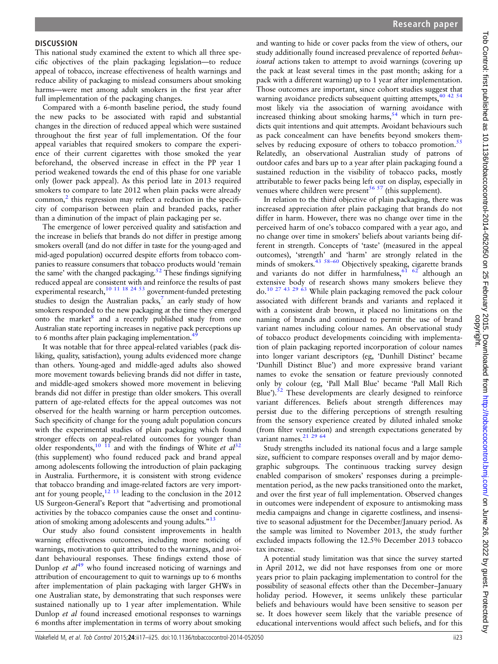## **DISCUSSION**

This national study examined the extent to which all three specific objectives of the plain packaging legislation—to reduce appeal of tobacco, increase effectiveness of health warnings and reduce ability of packaging to mislead consumers about smoking harms—were met among adult smokers in the first year after full implementation of the packaging changes.

Compared with a 6-month baseline period, the study found the new packs to be associated with rapid and substantial changes in the direction of reduced appeal which were sustained throughout the first year of full implementation. Of the four appeal variables that required smokers to compare the experience of their current cigarettes with those smoked the year beforehand, the observed increase in effect in the PP year 1 period weakened towards the end of this phase for one variable only (lower pack appeal). As this period late in 2013 required smokers to compare to late 2012 when plain packs were already common, $\frac{2}{3}$  this regression may reflect a reduction in the specificity of comparison between plain and branded packs, rather than a diminution of the impact of plain packaging per se.

The emergence of lower perceived quality and satisfaction and the increase in beliefs that brands do not differ in prestige among smokers overall (and do not differ in taste for the young-aged and mid-aged population) occurred despite efforts from tobacco companies to reassure consumers that tobacco products would 'remain the same' with the changed packaging.<sup>52</sup> These findings signifying reduced appeal are consistent with and reinforce the results of past experimental research, $\frac{10 \times 11}{18 \times 24 \times 53}$  $\frac{10 \times 11}{18 \times 24 \times 53}$  $\frac{10 \times 11}{18 \times 24 \times 53}$  government-funded pretesting studies to design the Australian packs, $^7$  an early study of how smokers responded to the new packaging at the time they emerged onto the market<sup>8</sup> and a recently published study from one Australian state reporting increases in negative pack perceptions up to 6 months after plain packaging implementation.<sup>4</sup>

It was notable that for three appeal-related variables (pack disliking, quality, satisfaction), young adults evidenced more change than others. Young-aged and middle-aged adults also showed more movement towards believing brands did not differ in taste, and middle-aged smokers showed more movement in believing brands did not differ in prestige than older smokers. This overall pattern of age-related effects for the appeal outcomes was not observed for the health warning or harm perception outcomes. Such specificity of change for the young adult population concurs with the experimental studies of plain packaging which found stronger effects on appeal-related outcomes for younger than older respondents,<sup>[10 11](#page-7-0)</sup> and with the findings of White et  $al^{32}$  $al^{32}$  $al^{32}$ (this supplement) who found reduced pack and brand appeal among adolescents following the introduction of plain packaging in Australia. Furthermore, it is consistent with strong evidence that tobacco branding and image-related factors are very important for young people, $12 \tcdot 13$  leading to the conclusion in the 2012 US Surgeon-General's Report that "advertising and promotional activities by the tobacco companies cause the onset and continu-ation of smoking among adolescents and young adults."<sup>[13](#page-7-0)</sup>

Our study also found consistent improvements in health warning effectiveness outcomes, including more noticing of warnings, motivation to quit attributed to the warnings, and avoidant behavioural responses. These findings extend those of Dunlop *et*  $al^{49}$  $al^{49}$  $al^{49}$  who found increased noticing of warnings and attribution of encouragement to quit to warnings up to 6 months after implementation of plain packaging with larger GHWs in one Australian state, by demonstrating that such responses were sustained nationally up to 1 year after implementation. While Dunlop et al found increased emotional responses to warnings 6 months after implementation in terms of worry about smoking

and wanting to hide or cover packs from the view of others, our study additionally found increased prevalence of reported behavioural actions taken to attempt to avoid warnings (covering up the pack at least several times in the past month; asking for a pack with a different warning) up to 1 year after implementation. Those outcomes are important, since cohort studies suggest that warning avoidance predicts subsequent quitting attempts, [40 42 54](#page-8-0) most likely via the association of warning avoidance with increased thinking about smoking harms,  $54$  which in turn predicts quit intentions and quit attempts. Avoidant behaviours such as pack concealment can have benefits beyond smokers them-selves by reducing exposure of others to tobacco promotion.<sup>[55](#page-8-0)</sup> Relatedly, an observational Australian study of patrons of outdoor cafes and bars up to a year after plain packaging found a sustained reduction in the visibility of tobacco packs, mostly attributable to fewer packs being left out on display, especially in venues where children were present $56\frac{57}{1}$  (this supplement).

In relation to the third objective of plain packaging, there was increased appreciation after plain packaging that brands do not differ in harm. However, there was no change over time in the perceived harm of one's tobacco compared with a year ago, and no change over time in smokers' beliefs about variants being different in strength. Concepts of 'taste' (measured in the appeal outcomes), 'strength' and 'harm' are strongly related in the minds of smokers.<sup>[43](#page-8-0) 58-[60](#page-8-0)</sup> Objectively speaking, cigarette brands and variants do not differ in harmfulness,  $61$   $62$  although an extensive body of research shows many smokers believe they do[.10 27](#page-7-0) [43 29 63](#page-8-0) While plain packaging removed the pack colour associated with different brands and variants and replaced it with a consistent drab brown, it placed no limitations on the naming of brands and continued to permit the use of brand variant names including colour names. An observational study of tobacco product developments coinciding with implementation of plain packaging reported incorporation of colour names into longer variant descriptors (eg, 'Dunhill Distinct' became 'Dunhill Distinct Blue') and more expressive brand variant names to evoke the sensation or feature previously connoted only by colour (eg, 'Pall Mall Blue' became 'Pall Mall Rich Blue').<sup>52</sup> These developments are clearly designed to reinforce variant differences. Beliefs about strength differences may persist due to the differing perceptions of strength resulting from the sensory experience created by diluted inhaled smoke (from filter ventilation) and strength expectations generated by variant names. $21 \overline{29} 64$  $21 \overline{29} 64$ 

Study strengths included its national focus and a large sample size, sufficient to compare responses overall and by major demographic subgroups. The continuous tracking survey design enabled comparison of smokers' responses during a preimplementation period, as the new packs transitioned onto the market, and over the first year of full implementation. Observed changes in outcomes were independent of exposure to antismoking mass media campaigns and change in cigarette costliness, and insensitive to seasonal adjustment for the December/January period. As the sample was limited to November 2013, the study further excluded impacts following the 12.5% December 2013 tobacco tax increase.

A potential study limitation was that since the survey started in April 2012, we did not have responses from one or more years prior to plain packaging implementation to control for the possibility of seasonal effects other than the December–January holiday period. However, it seems unlikely these particular beliefs and behaviours would have been sensitive to season per se. It does however seem likely that the variable presence of educational interventions would affect such beliefs, and for this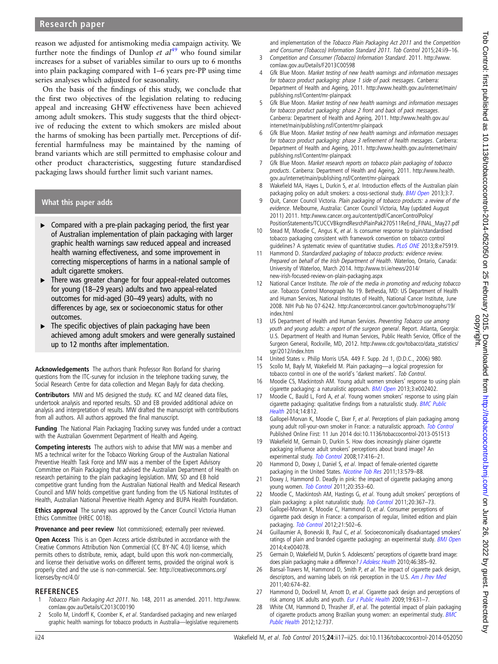<span id="page-7-0"></span>reason we adjusted for antismoking media campaign activity. We further note the findings of Dunlop et  $al^{49}$  $al^{49}$  $al^{49}$  who found similar increases for a subset of variables similar to ours up to 6 months into plain packaging compared with 1–6 years pre-PP using time series analyses which adjusted for seasonality.

On the basis of the findings of this study, we conclude that the first two objectives of the legislation relating to reducing appeal and increasing GHW effectiveness have been achieved among adult smokers. This study suggests that the third objective of reducing the extent to which smokers are misled about the harms of smoking has been partially met. Perceptions of differential harmfulness may be maintained by the naming of brand variants which are still permitted to emphasise colour and other product characteristics, suggesting future standardised packaging laws should further limit such variant names.

# What this paper adds

- $\triangleright$  Compared with a pre-plain packaging period, the first year of Australian implementation of plain packaging with larger graphic health warnings saw reduced appeal and increased health warning effectiveness, and some improvement in correcting misperceptions of harms in a national sample of adult cigarette smokers.
- ▸ There was greater change for four appeal-related outcomes for young (18–29 years) adults and two appeal-related outcomes for mid-aged (30–49 years) adults, with no differences by age, sex or socioeconomic status for other outcomes.
- The specific objectives of plain packaging have been achieved among adult smokers and were generally sustained up to 12 months after implementation.

Acknowledgements The authors thank Professor Ron Borland for sharing questions from the ITC-survey for inclusion in the telephone tracking survey, the Social Research Centre for data collection and Megan Bayly for data checking.

Contributors MW and MS designed the study. KC and MZ cleaned data files, undertook analysis and reported results. SD and EB provided additional advice on analysis and interpretation of results. MW drafted the manuscript with contributions from all authors. All authors approved the final manuscript.

Funding The National Plain Packaging Tracking survey was funded under a contract with the Australian Government Department of Health and Ageing.

Competing interests The authors wish to advise that MW was a member and MS a technical writer for the Tobacco Working Group of the Australian National Preventive Health Task Force and MW was a member of the Expert Advisory Committee on Plain Packaging that advised the Australian Department of Health on research pertaining to the plain packaging legislation. MW, SD and EB hold competitive grant funding from the Australian National Health and Medical Research Council and MW holds competitive grant funding from the US National Institutes of Health, Australian National Preventive Health Agency and BUPA Health Foundation.

**Ethics approval** The survey was approved by the Cancer Council Victoria Human Ethics Committee (HREC 0018).

Provenance and peer review Not commissioned; externally peer reviewed.

Open Access This is an Open Access article distributed in accordance with the Creative Commons Attribution Non Commercial (CC BY-NC 4.0) license, which permits others to distribute, remix, adapt, build upon this work non-commercially, and license their derivative works on different terms, provided the original work is properly cited and the use is non-commercial. See: [http://creativecommons.org/](http://creativecommons.org/licenses/by-nc/4.0/) [licenses/by-nc/4.0/](http://creativecommons.org/licenses/by-nc/4.0/)

## **REFERENCES**

- Tobacco Plain Packaging Act 2011. No. 148, 2011 as amended. 2011. [http://www.](http://www.comlaw.gov.au/Details/C2013C00190) [comlaw.gov.au/Details/C2013C00190](http://www.comlaw.gov.au/Details/C2013C00190)
- 2 Scollo M, Lindorff K, Coomber K, et al. Standardised packaging and new enlarged graphic health warnings for tobacco products in Australia—legislative requirements

and implementation of the Tobacco Plain Packaging Act 2011 and the Competition and Consumer (Tobacco) Information Standard 2011. Tob Control 2015;24:ii9–16.

- 3 Competition and Consumer (Tobacco) Information Standard. 2011. [http://www.](http://www.comlaw.gov.au/Details/F2013C00598) [comlaw.gov.au/Details/F2013C00598](http://www.comlaw.gov.au/Details/F2013C00598)
- 4 Gfk Blue Moon. Market testing of new health warnings and information messages for tobacco product packaging: phase 1 side of pack messages. Canberra: Department of Health and Ageing, 2011. [http://www.health.gov.au/internet/main/](http://www.health.gov.au/internet/main/publishing.nsf/Content/mr-plainpack) [publishing.nsf/Content/mr-plainpack](http://www.health.gov.au/internet/main/publishing.nsf/Content/mr-plainpack)
- 5 Gfk Blue Moon. Market testing of new health warnings and information messages for tobacco product packaging: phase 2 front and back of pack messages. Canberra: Department of Health and Ageing, 2011. [http://www.health.gov.au/](http://www.health.gov.au/internet/main/publishing.nsf/Content/mr-plainpack) [internet/main/publishing.nsf/Content/mr-plainpack](http://www.health.gov.au/internet/main/publishing.nsf/Content/mr-plainpack)
- 6 Gfk Blue Moon. Market testing of new health warnings and information messages for tobacco product packaging: phase 3 refinement of health messages. Canberra: Department of Health and Ageing, 2011. [http://www.health.gov.au/internet/main/](http://www.health.gov.au/internet/main/publishing.nsf/Content/mr-plainpack) [publishing.nsf/Content/mr-plainpack](http://www.health.gov.au/internet/main/publishing.nsf/Content/mr-plainpack)
- Gfk Blue Moon. Market research reports on tobacco plain packaging of tobacco products. Canberra: Department of Health and Ageing, 2011. [http://www.health.](http://www.health.gov.au/internet/main/publishing.nsf/Content/mr-plainpack) [gov.au/internet/main/publishing.nsf/Content/mr-plainpack](http://www.health.gov.au/internet/main/publishing.nsf/Content/mr-plainpack)
- 8 Wakefield MA, Hayes L, Durkin S, et al. Introduction effects of the Australian plain packaging policy on adult smokers: a cross-sectional study. [BMJ Open](http://dx.doi.org/10.1136/bmjopen-2013-003175) 2013;3:7.
- 9 Quit, Cancer Council Victoria. Plain packaging of tobacco products: a review of the evidence. Melbourne, Australia: Cancer Council Victoria, May (updated August 2011) 2011. [http://www.cancer.org.au/content/pdf/CancerControlPolicy/](http://www.cancer.org.au/content/pdf/CancerControlPolicy/PositionStatements/TCUCCVBkgrndResrchPlainPak270511ReEnd_FINAL_May27.pdf) [PositionStatements/TCUCCVBkgrndResrchPlainPak270511ReEnd\\_FINAL\\_May27.pdf](http://www.cancer.org.au/content/pdf/CancerControlPolicy/PositionStatements/TCUCCVBkgrndResrchPlainPak270511ReEnd_FINAL_May27.pdf)
- 10 Stead M, Moodie C, Angus K, et al. Is consumer response to plain/standardised tobacco packaging consistent with framework convention on tobacco control guidelines? A systematic review of quantitative studies. [PLoS ONE](http://dx.doi.org/10.1371/journal.pone.0075919) 2013;8:e75919.
- 11 Hammond D. Standardized packaging of tobacco products: evidence review. Prepared on behalf of the Irish Department of Health. Waterloo, Ontario, Canada: University of Waterloo, March 2014. [http://www.tri.ie/news/2014/](http://www.tri.ie/news/2014/new-irish-focused-review-on-plain-packaging.aspx) [new-irish-focused-review-on-plain-packaging.aspx](http://www.tri.ie/news/2014/new-irish-focused-review-on-plain-packaging.aspx)
- 12 National Cancer Institute. The role of the media in promoting and reducing tobacco use. Tobacco Control Monograph No 19. Bethesda, MD: US Department of Health and Human Services, National Institutes of Health, National Cancer Institute, June 2008. NIH Pub No 07-6242. [http://cancercontrol.cancer.gov/tcrb/monographs/19/](http://cancercontrol.cancer.gov/tcrb/monographs/19/index.html) [index.html](http://cancercontrol.cancer.gov/tcrb/monographs/19/index.html)
- 13 US Department of Health and Human Services. Preventing Tobacco use among youth and young adults: a report of the surgeon general. Report. Atlanta, Georgia: U.S. Department of Health and Human Services, Public Health Service, Office of the Surgeon General, Rockville, MD, 2012. [http://www.cdc.gov/tobacco/data\\_statistics/](http://www.cdc.gov/tobacco/data_statistics/sgr/2012/index.htm) [sgr/2012/index.htm](http://www.cdc.gov/tobacco/data_statistics/sgr/2012/index.htm)
- 14 United States v. Philip Morris USA. 449 F. Supp. 2d 1, (D.D.C., 2006) 980.
- 15 Scollo M, Bayly M, Wakefield M. Plain packaging—a logical progression for tobacco control in one of the world's 'darkest markets'. Tob Control.
- 16 Moodie CS, Mackintosh AM. Young adult women smokers' response to using plain cigarette packaging: a naturalistic approach. **[BMJ Open](http://dx.doi.org/10.1136/bmjopen-2012-002402) 2013**;3:e002402.
- 17 Moodie C, Bauld L, Ford A, et al. Young women smokers' response to using plain cigarette packaging: qualitative findings from a naturalistic study. **[BMC Public](http://dx.doi.org/10.1186/1471-2458-14-812)** [Health](http://dx.doi.org/10.1186/1471-2458-14-812) 2014;14:812.
- 18 Gallopel-Morvan K, Moodie C, Eker F, et al. Perceptions of plain packaging among young adult roll-your-own smoker in France: a naturalistic approach. [Tob Control](http://dx.doi.org/10.1136/tobaccocontrol-2013-051513) Published Online First: 11 Jun 2014 doi:10.1136/tobaccocontrol-2013-051513
- 19 Wakefield M, Germain D, Durkin S. How does increasingly plainer cigarette packaging influence adult smokers' perceptions about brand image? An experimental study. [Tob Control](http://dx.doi.org/10.1136/tc.2008.026732) 2008;17:416–21.
- 20 Hammond D, Doxey J, Daniel S, et al. Impact of female-oriented cigarette packaging in the United States. [Nicotine Tob Res](http://dx.doi.org/10.1093/ntr/ntr045) 2011;13:579-88.
- 21 Doxey J, Hammond D. Deadly in pink: the impact of cigarette packaging among young women. [Tob Control](http://dx.doi.org/10.1136/tc.2010.038315) 2011;20:353–60.
- 22 Moodie C, Mackintosh AM, Hastings G, et al. Young adult smokers' perceptions of plain packaging: a pilot naturalistic study. [Tob Control](http://dx.doi.org/10.1136/tc.2011.042911) 2011;20:367-73.
- 23 Gallopel-Morvan K, Moodie C, Hammond D, et al. Consumer perceptions of cigarette pack design in France: a comparison of regular, limited edition and plain packaging. [Tob Control](http://dx.doi.org/10.1136/tobaccocontrol-2011-050079) 2012;21:502-6.
- 24 Guillaumier A, Bonevski B, Paul C, et al. Socioeconomically disadvantaged smokers' ratings of plain and branded cigarette packaging: an experimental study. [BMJ Open](http://dx.doi.org/10.1136/bmjopen-2013-004078) 2014;4:e004078.
- 25 Germain D, Wakefield M, Durkin S. Adolescents' perceptions of cigarette brand image: does plain packaging make a difference? [J Adolesc Health](http://dx.doi.org/10.1016/j.jadohealth.2009.08.009) 2010;46:385-92.
- 26 Bansal-Travers M, Hammond D, Smith P, et al. The impact of cigarette pack design, descriptors, and warning labels on risk perception in the U.S. [Am J Prev Med](http://dx.doi.org/10.1016/j.amepre.2011.01.021) 2011;40:674–82.
- 27 Hammond D, Dockrell M, Arnott D, et al. Cigarette pack design and perceptions of risk among UK adults and youth. [Eur J Public Health](http://dx.doi.org/10.1093/eurpub/ckp122) 2009;19:631-7.
- 28 White CM, Hammond D, Thrasher JF, et al. The potential impact of plain packaging of cigarette products among Brazilian young women: an experimental study. **[BMC](http://dx.doi.org/10.1186/1471-2458-12-737)** [Public Health](http://dx.doi.org/10.1186/1471-2458-12-737) 2012;12:737.